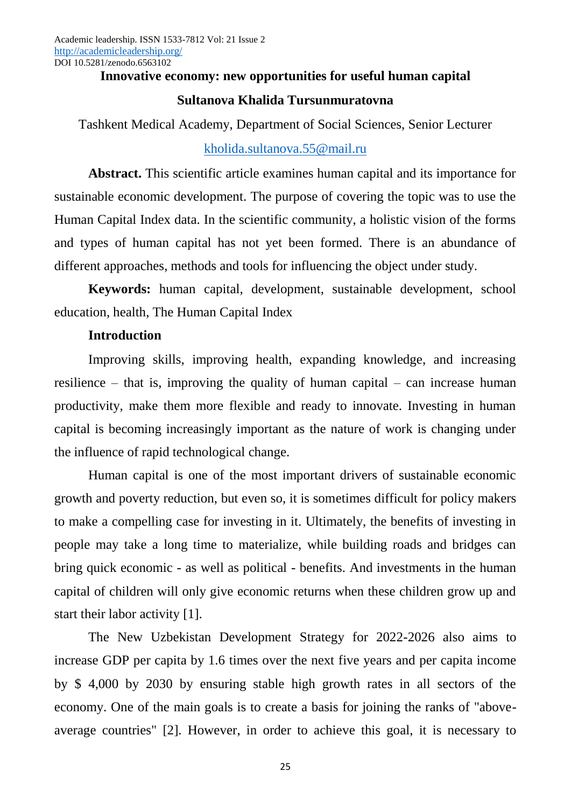## **Innovative economy: new opportunities for useful human capital**

## **Sultanova Khalida Tursunmuratovna**

Tashkent Medical Academy, Department of Social Sciences, Senior Lecturer

# [kholida.sultanova.55@mail.ru](mailto:kholida.sultanova.55@mail.ru)

**Abstract.** This scientific article examines human capital and its importance for sustainable economic development. The purpose of covering the topic was to use the Human Capital Index data. In the scientific community, a holistic vision of the forms and types of human capital has not yet been formed. There is an abundance of different approaches, methods and tools for influencing the object under study.

**Keywords:** human capital, development, sustainable development, school education, health, The Human Capital Index

# **Introduction**

Improving skills, improving health, expanding knowledge, and increasing resilience – that is, improving the quality of human capital – can increase human productivity, make them more flexible and ready to innovate. Investing in human capital is becoming increasingly important as the nature of work is changing under the influence of rapid technological change.

Human capital is one of the most important drivers of sustainable economic growth and poverty reduction, but even so, it is sometimes difficult for policy makers to make a compelling case for investing in it. Ultimately, the benefits of investing in people may take a long time to materialize, while building roads and bridges can bring quick economic - as well as political - benefits. And investments in the human capital of children will only give economic returns when these children grow up and start their labor activity [1].

The New Uzbekistan Development Strategy for 2022-2026 also aims to increase GDP per capita by 1.6 times over the next five years and per capita income by \$ 4,000 by 2030 by ensuring stable high growth rates in all sectors of the economy. One of the main goals is to create a basis for joining the ranks of "aboveaverage countries" [2]. However, in order to achieve this goal, it is necessary to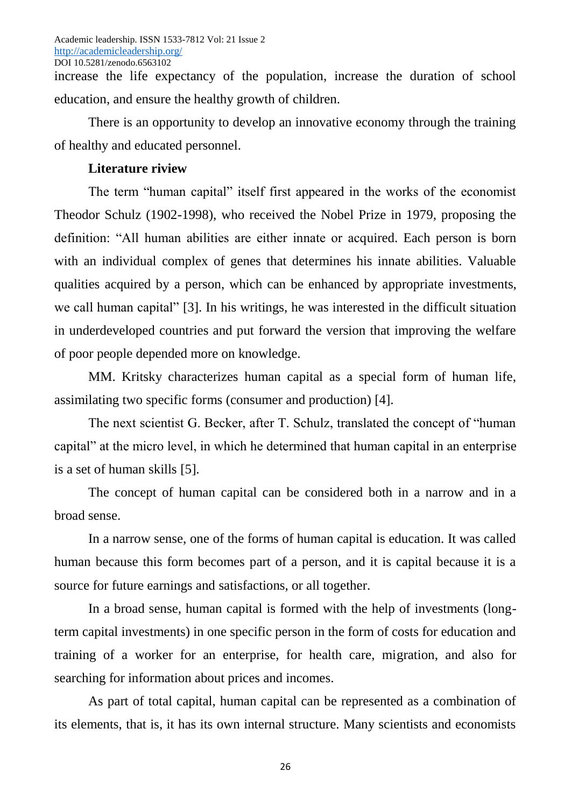increase the life expectancy of the population, increase the duration of school education, and ensure the healthy growth of children.

There is an opportunity to develop an innovative economy through the training of healthy and educated personnel.

# **Literature riview**

The term "human capital" itself first appeared in the works of the economist Theodor Schulz (1902-1998), who received the Nobel Prize in 1979, proposing the definition: "All human abilities are either innate or acquired. Each person is born with an individual complex of genes that determines his innate abilities. Valuable qualities acquired by a person, which can be enhanced by appropriate investments, we call human capital" [3]. In his writings, he was interested in the difficult situation in underdeveloped countries and put forward the version that improving the welfare of poor people depended more on knowledge.

MM. Kritsky characterizes human capital as a special form of human life, assimilating two specific forms (consumer and production) [4].

The next scientist G. Becker, after T. Schulz, translated the concept of "human capital" at the micro level, in which he determined that human capital in an enterprise is a set of human skills [5].

The concept of human capital can be considered both in a narrow and in a broad sense.

In a narrow sense, one of the forms of human capital is education. It was called human because this form becomes part of a person, and it is capital because it is a source for future earnings and satisfactions, or all together.

In a broad sense, human capital is formed with the help of investments (longterm capital investments) in one specific person in the form of costs for education and training of a worker for an enterprise, for health care, migration, and also for searching for information about prices and incomes.

As part of total capital, human capital can be represented as a combination of its elements, that is, it has its own internal structure. Many scientists and economists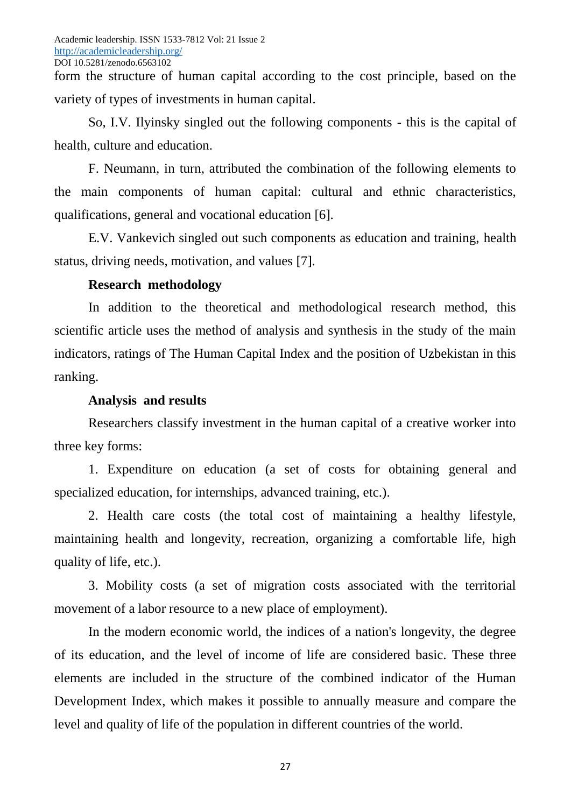form the structure of human capital according to the cost principle, based on the variety of types of investments in human capital.

So, I.V. Ilyinsky singled out the following components - this is the capital of health, culture and education.

F. Neumann, in turn, attributed the combination of the following elements to the main components of human capital: cultural and ethnic characteristics, qualifications, general and vocational education [6].

E.V. Vankevich singled out such components as education and training, health status, driving needs, motivation, and values [7].

# **Research methodology**

In addition to the theoretical and methodological research method, this scientific article uses the method of analysis and synthesis in the study of the main indicators, ratings of The Human Capital Index and the position of Uzbekistan in this ranking.

## **Analysis and results**

Researchers classify investment in the human capital of a creative worker into three key forms:

1. Expenditure on education (a set of costs for obtaining general and specialized education, for internships, advanced training, etc.).

2. Health care costs (the total cost of maintaining a healthy lifestyle, maintaining health and longevity, recreation, organizing a comfortable life, high quality of life, etc.).

3. Mobility costs (a set of migration costs associated with the territorial movement of a labor resource to a new place of employment).

In the modern economic world, the indices of a nation's longevity, the degree of its education, and the level of income of life are considered basic. These three elements are included in the structure of the combined indicator of the Human Development Index, which makes it possible to annually measure and compare the level and quality of life of the population in different countries of the world.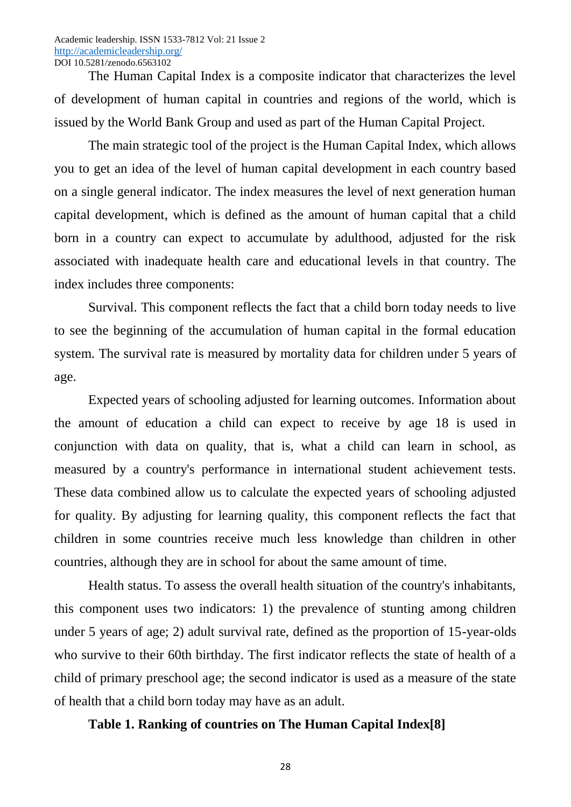The Human Capital Index is a composite indicator that characterizes the level of development of human capital in countries and regions of the world, which is issued by the World Bank Group and used as part of the Human Capital Project.

The main strategic tool of the project is the Human Capital Index, which allows you to get an idea of the level of human capital development in each country based on a single general indicator. The index measures the level of next generation human capital development, which is defined as the amount of human capital that a child born in a country can expect to accumulate by adulthood, adjusted for the risk associated with inadequate health care and educational levels in that country. The index includes three components:

Survival. This component reflects the fact that a child born today needs to live to see the beginning of the accumulation of human capital in the formal education system. The survival rate is measured by mortality data for children under 5 years of age.

Expected years of schooling adjusted for learning outcomes. Information about the amount of education a child can expect to receive by age 18 is used in conjunction with data on quality, that is, what a child can learn in school, as measured by a country's performance in international student achievement tests. These data combined allow us to calculate the expected years of schooling adjusted for quality. By adjusting for learning quality, this component reflects the fact that children in some countries receive much less knowledge than children in other countries, although they are in school for about the same amount of time.

Health status. To assess the overall health situation of the country's inhabitants, this component uses two indicators: 1) the prevalence of stunting among children under 5 years of age; 2) adult survival rate, defined as the proportion of 15-year-olds who survive to their 60th birthday. The first indicator reflects the state of health of a child of primary preschool age; the second indicator is used as a measure of the state of health that a child born today may have as an adult.

## **Table 1. Ranking of countries on The Human Capital Index[8]**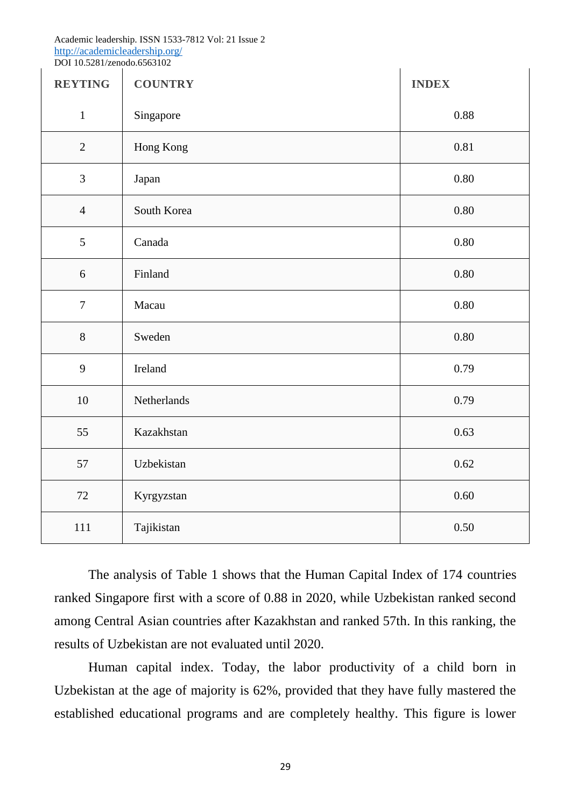#### Academic leadership. ISSN 1533-7812 Vol: 21 Issue 2 <http://academicleadership.org/> DOI 10.5281/zenodo.6563102

| <b>REYTING</b> | <b>COUNTRY</b> | <b>INDEX</b> |
|----------------|----------------|--------------|
| $\mathbf{1}$   | Singapore      | 0.88         |
| $\mathbf{2}$   | Hong Kong      | 0.81         |
| $\mathfrak{Z}$ | Japan          | 0.80         |
| $\overline{4}$ | South Korea    | $0.80\,$     |
| 5              | Canada         | 0.80         |
| $6\,$          | Finland        | $0.80\,$     |
| $\overline{7}$ | Macau          | 0.80         |
| $8\,$          | Sweden         | 0.80         |
| 9              | Ireland        | 0.79         |
| $10\,$         | Netherlands    | 0.79         |
| 55             | Kazakhstan     | 0.63         |
| 57             | Uzbekistan     | 0.62         |
| 72             | Kyrgyzstan     | 0.60         |
| 111            | Tajikistan     | 0.50         |

The analysis of Table 1 shows that the Human Capital Index of 174 countries ranked Singapore first with a score of 0.88 in 2020, while Uzbekistan ranked second among Central Asian countries after Kazakhstan and ranked 57th. In this ranking, the results of Uzbekistan are not evaluated until 2020.

Human capital index. Today, the labor productivity of a child born in Uzbekistan at the age of majority is 62%, provided that they have fully mastered the established educational programs and are completely healthy. This figure is lower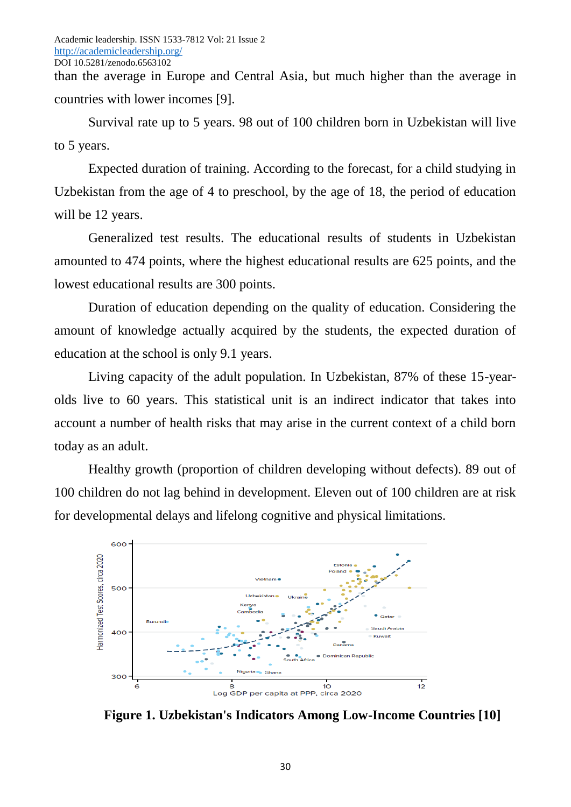than the average in Europe and Central Asia, but much higher than the average in countries with lower incomes [9].

Survival rate up to 5 years. 98 out of 100 children born in Uzbekistan will live to 5 years.

Expected duration of training. According to the forecast, for a child studying in Uzbekistan from the age of 4 to preschool, by the age of 18, the period of education will be 12 years.

Generalized test results. The educational results of students in Uzbekistan amounted to 474 points, where the highest educational results are 625 points, and the lowest educational results are 300 points.

Duration of education depending on the quality of education. Considering the amount of knowledge actually acquired by the students, the expected duration of education at the school is only 9.1 years.

Living capacity of the adult population. In Uzbekistan, 87% of these 15-yearolds live to 60 years. This statistical unit is an indirect indicator that takes into account a number of health risks that may arise in the current context of a child born today as an adult.

Healthy growth (proportion of children developing without defects). 89 out of 100 children do not lag behind in development. Eleven out of 100 children are at risk for developmental delays and lifelong cognitive and physical limitations.



**Figure 1. Uzbekistan's Indicators Among Low-Income Countries [10]**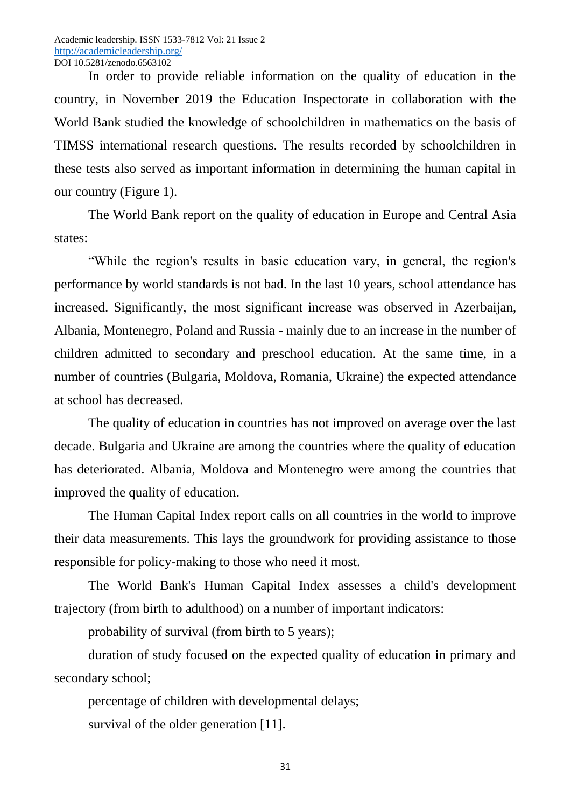In order to provide reliable information on the quality of education in the country, in November 2019 the Education Inspectorate in collaboration with the World Bank studied the knowledge of schoolchildren in mathematics on the basis of TIMSS international research questions. The results recorded by schoolchildren in these tests also served as important information in determining the human capital in our country (Figure 1).

The World Bank report on the quality of education in Europe and Central Asia states:

"While the region's results in basic education vary, in general, the region's performance by world standards is not bad. In the last 10 years, school attendance has increased. Significantly, the most significant increase was observed in Azerbaijan, Albania, Montenegro, Poland and Russia - mainly due to an increase in the number of children admitted to secondary and preschool education. At the same time, in a number of countries (Bulgaria, Moldova, Romania, Ukraine) the expected attendance at school has decreased.

The quality of education in countries has not improved on average over the last decade. Bulgaria and Ukraine are among the countries where the quality of education has deteriorated. Albania, Moldova and Montenegro were among the countries that improved the quality of education.

The Human Capital Index report calls on all countries in the world to improve their data measurements. This lays the groundwork for providing assistance to those responsible for policy-making to those who need it most.

The World Bank's Human Capital Index assesses a child's development trajectory (from birth to adulthood) on a number of important indicators:

probability of survival (from birth to 5 years);

duration of study focused on the expected quality of education in primary and secondary school;

percentage of children with developmental delays; survival of the older generation [11].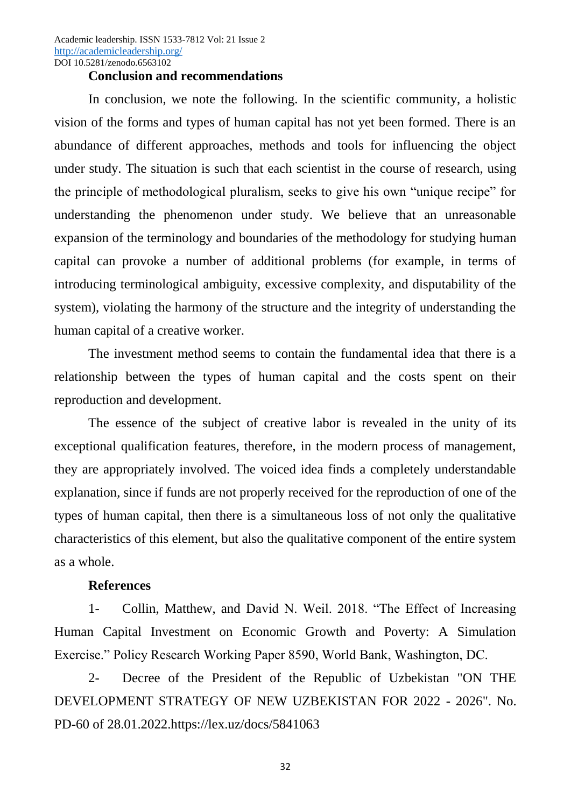Academic leadership. ISSN 1533-7812 Vol: 21 Issue 2 <http://academicleadership.org/> DOI 10.5281/zenodo.6563102

#### **Conclusion and recommendations**

In conclusion, we note the following. In the scientific community, a holistic vision of the forms and types of human capital has not yet been formed. There is an abundance of different approaches, methods and tools for influencing the object under study. The situation is such that each scientist in the course of research, using the principle of methodological pluralism, seeks to give his own "unique recipe" for understanding the phenomenon under study. We believe that an unreasonable expansion of the terminology and boundaries of the methodology for studying human capital can provoke a number of additional problems (for example, in terms of introducing terminological ambiguity, excessive complexity, and disputability of the system), violating the harmony of the structure and the integrity of understanding the human capital of a creative worker.

The investment method seems to contain the fundamental idea that there is a relationship between the types of human capital and the costs spent on their reproduction and development.

The essence of the subject of creative labor is revealed in the unity of its exceptional qualification features, therefore, in the modern process of management, they are appropriately involved. The voiced idea finds a completely understandable explanation, since if funds are not properly received for the reproduction of one of the types of human capital, then there is a simultaneous loss of not only the qualitative characteristics of this element, but also the qualitative component of the entire system as a whole.

## **References**

1- Collin, Matthew, and David N. Weil. 2018. "The Effect of Increasing Human Capital Investment on Economic Growth and Poverty: A Simulation Exercise." Policy Research Working Paper 8590, World Bank, Washington, DC.

2- Decree of the President of the Republic of Uzbekistan "ON THE DEVELOPMENT STRATEGY OF NEW UZBEKISTAN FOR 2022 - 2026". No. PD-60 of 28.01.2022.https://lex.uz/docs/5841063

32